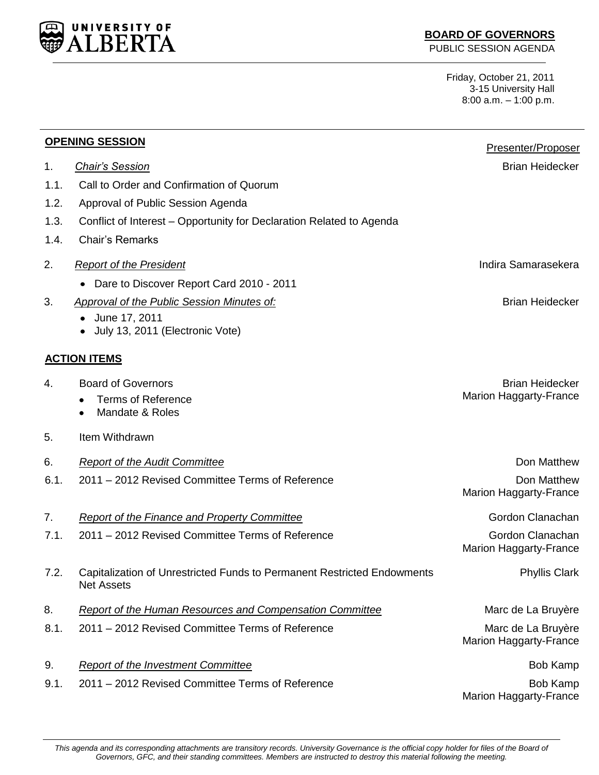

## **BOARD OF GOVERNORS**

PUBLIC SESSION AGENDA

Friday, October 21, 2011 3-15 University Hall 8:00 a.m. – 1:00 p.m.

| <b>OPENING SESSION</b> |                                                                                              | Presenter/Proposer                                  |
|------------------------|----------------------------------------------------------------------------------------------|-----------------------------------------------------|
| 1.                     | <b>Chair's Session</b>                                                                       | <b>Brian Heidecker</b>                              |
| 1.1.                   | Call to Order and Confirmation of Quorum                                                     |                                                     |
| 1.2.                   | Approval of Public Session Agenda                                                            |                                                     |
| 1.3.                   | Conflict of Interest – Opportunity for Declaration Related to Agenda                         |                                                     |
| 1.4.                   | <b>Chair's Remarks</b>                                                                       |                                                     |
| 2.                     | <b>Report of the President</b>                                                               | Indira Samarasekera                                 |
|                        | Dare to Discover Report Card 2010 - 2011                                                     |                                                     |
| 3.                     | <b>Approval of the Public Session Minutes of:</b>                                            | <b>Brian Heidecker</b>                              |
|                        | June 17, 2011<br>July 13, 2011 (Electronic Vote)                                             |                                                     |
|                        | <b>ACTION ITEMS</b>                                                                          |                                                     |
| 4.                     | <b>Board of Governors</b>                                                                    | <b>Brian Heidecker</b>                              |
|                        | <b>Terms of Reference</b>                                                                    | <b>Marion Haggarty-France</b>                       |
|                        | Mandate & Roles                                                                              |                                                     |
| 5.                     | Item Withdrawn                                                                               |                                                     |
| 6.                     | <b>Report of the Audit Committee</b>                                                         | Don Matthew                                         |
| 6.1.                   | 2011 - 2012 Revised Committee Terms of Reference                                             | Don Matthew                                         |
|                        |                                                                                              | <b>Marion Haggarty-France</b>                       |
| 7.                     | Report of the Finance and Property Committee                                                 | Gordon Clanachan                                    |
| 7.1.                   | 2011 – 2012 Revised Committee Terms of Reference                                             | Gordon Clanachan                                    |
|                        |                                                                                              | <b>Marion Haggarty-France</b>                       |
| 7.2.                   | Capitalization of Unrestricted Funds to Permanent Restricted Endowments<br><b>Net Assets</b> | <b>Phyllis Clark</b>                                |
| 8.                     | <b>Report of the Human Resources and Compensation Committee</b>                              | Marc de La Bruyère                                  |
| 8.1.                   | 2011 - 2012 Revised Committee Terms of Reference                                             | Marc de La Bruyère<br><b>Marion Haggarty-France</b> |
| 9.                     | <b>Report of the Investment Committee</b>                                                    | <b>Bob Kamp</b>                                     |
| 9.1.                   | 2011 – 2012 Revised Committee Terms of Reference                                             | <b>Bob Kamp</b><br>Marion Haggarty-France           |

*This agenda and its corresponding attachments are transitory records. University Governance is the official copy holder for files of the Board of Governors, GFC, and their standing committees. Members are instructed to destroy this material following the meeting.*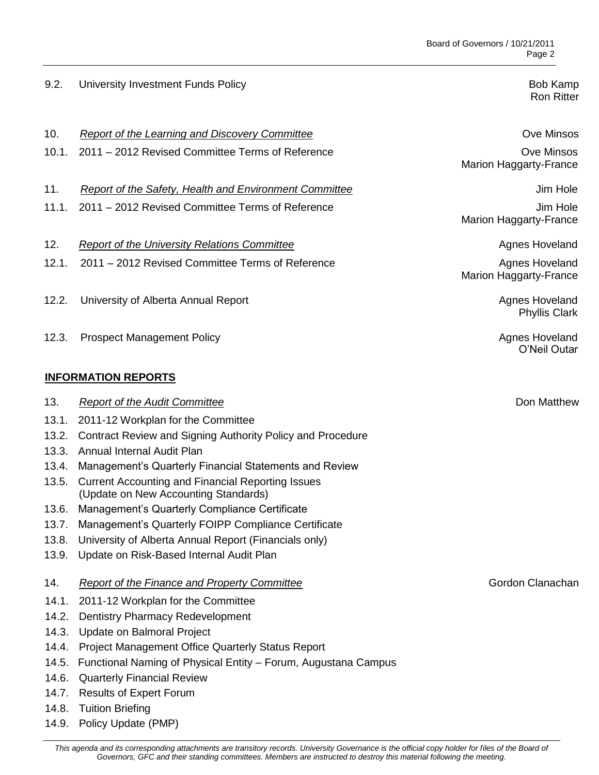## 9.2. University Investment Funds Policy Bob American Channel Bob Kamp Bob Kamp

Ron Ritter

Marion Haggarty-France

Marion Haggarty-France

Marion Haggarty-France

Phyllis Clark

O'Neil Outar

| <b>Ove Minsos</b><br>Report of the Learning and Discovery Committee | 10. |
|---------------------------------------------------------------------|-----|
|---------------------------------------------------------------------|-----|

- 10.1. 2011 2012 Revised Committee Terms of Reference **Communists** Ove Minsos
- 11. **Report of the Safety, Health and Environment Committee** June 1996 and Sum Hole
- 11.1. 2011 2012 Revised Committee Terms of Reference **Jum Hole** Jim Hole
- 12. *Report of the University Relations Committee* Agnes Hoveland **Agnes Hoveland**
- 12.1. 2011 2012 Revised Committee Terms of Reference **Agnes Hoveland** Agnes Hoveland
- 12.2. University of Alberta Annual Report **Agnes Hoveland** Agnes Hoveland
- 12.3. Prospect Management Policy **Agnes Hoveland Agnes Hoveland**

## **INFORMATION REPORTS**

14.9. Policy Update (PMP)

| 13.   | <b>Report of the Audit Committee</b>                                                             | Don Matthew      |
|-------|--------------------------------------------------------------------------------------------------|------------------|
| 13.1. | 2011-12 Workplan for the Committee                                                               |                  |
| 13.2. | Contract Review and Signing Authority Policy and Procedure                                       |                  |
| 13.3. | Annual Internal Audit Plan                                                                       |                  |
| 13.4. | Management's Quarterly Financial Statements and Review                                           |                  |
| 13.5. | <b>Current Accounting and Financial Reporting Issues</b><br>(Update on New Accounting Standards) |                  |
| 13.6. | Management's Quarterly Compliance Certificate                                                    |                  |
| 13.7. | Management's Quarterly FOIPP Compliance Certificate                                              |                  |
| 13.8. | University of Alberta Annual Report (Financials only)                                            |                  |
|       | 13.9. Update on Risk-Based Internal Audit Plan                                                   |                  |
| 14.   | <b>Report of the Finance and Property Committee</b>                                              | Gordon Clanachan |
| 14.1. | 2011-12 Workplan for the Committee                                                               |                  |
| 14.2. | <b>Dentistry Pharmacy Redevelopment</b>                                                          |                  |
| 14.3. | Update on Balmoral Project                                                                       |                  |
| 14.4. | <b>Project Management Office Quarterly Status Report</b>                                         |                  |
| 14.5. | Functional Naming of Physical Entity - Forum, Augustana Campus                                   |                  |
| 14.6. | <b>Quarterly Financial Review</b>                                                                |                  |
| 14.7. | <b>Results of Expert Forum</b>                                                                   |                  |
|       | 14.8. Tuition Briefing                                                                           |                  |

This agenda and its corresponding attachments are transitory records. University Governance is the official copy holder for files of the Board of *Governors, GFC and their standing committees. Members are instructed to destroy this material following the meeting.*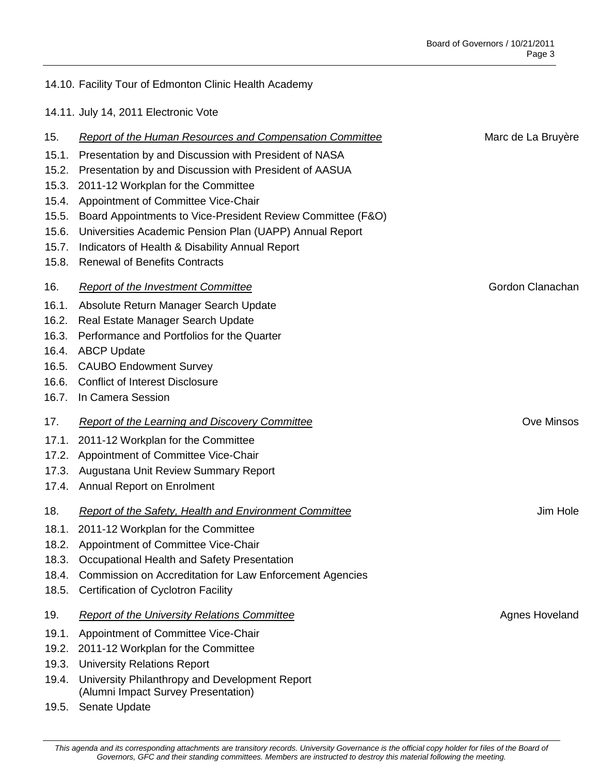# 14.10. Facility Tour of Edmonton Clinic Health Academy

14.11. July 14, 2011 Electronic Vote

| 15.   | <b>Report of the Human Resources and Compensation Committee</b>                       | Marc de La Bruyère |
|-------|---------------------------------------------------------------------------------------|--------------------|
| 15.1. | Presentation by and Discussion with President of NASA                                 |                    |
| 15.2. | Presentation by and Discussion with President of AASUA                                |                    |
| 15.3. | 2011-12 Workplan for the Committee                                                    |                    |
| 15.4. | Appointment of Committee Vice-Chair                                                   |                    |
| 15.5. | Board Appointments to Vice-President Review Committee (F&O)                           |                    |
| 15.6. | Universities Academic Pension Plan (UAPP) Annual Report                               |                    |
| 15.7. | Indicators of Health & Disability Annual Report                                       |                    |
| 15.8. | <b>Renewal of Benefits Contracts</b>                                                  |                    |
| 16.   | <b>Report of the Investment Committee</b>                                             | Gordon Clanachan   |
| 16.1. | Absolute Return Manager Search Update                                                 |                    |
| 16.2. | Real Estate Manager Search Update                                                     |                    |
| 16.3. | Performance and Portfolios for the Quarter                                            |                    |
| 16.4. | <b>ABCP Update</b>                                                                    |                    |
| 16.5. | <b>CAUBO Endowment Survey</b>                                                         |                    |
| 16.6. | <b>Conflict of Interest Disclosure</b>                                                |                    |
| 16.7. | In Camera Session                                                                     |                    |
| 17.   | <b>Report of the Learning and Discovery Committee</b>                                 | <b>Ove Minsos</b>  |
| 17.1. | 2011-12 Workplan for the Committee                                                    |                    |
| 17.2. | Appointment of Committee Vice-Chair                                                   |                    |
| 17.3. | Augustana Unit Review Summary Report                                                  |                    |
| 17.4. | <b>Annual Report on Enrolment</b>                                                     |                    |
| 18.   | Report of the Safety, Health and Environment Committee                                | Jim Hole           |
| 18.1. | 2011-12 Workplan for the Committee                                                    |                    |
| 18.2. | Appointment of Committee Vice-Chair                                                   |                    |
| 18.3. | Occupational Health and Safety Presentation                                           |                    |
| 18.4. | Commission on Accreditation for Law Enforcement Agencies                              |                    |
| 18.5. | <b>Certification of Cyclotron Facility</b>                                            |                    |
| 19.   | <b>Report of the University Relations Committee</b>                                   | Agnes Hoveland     |
| 19.1. | Appointment of Committee Vice-Chair                                                   |                    |
| 19.2. | 2011-12 Workplan for the Committee                                                    |                    |
| 19.3. | <b>University Relations Report</b>                                                    |                    |
| 19.4. | University Philanthropy and Development Report<br>(Alumni Impact Survey Presentation) |                    |
| 19.5. | Senate Update                                                                         |                    |